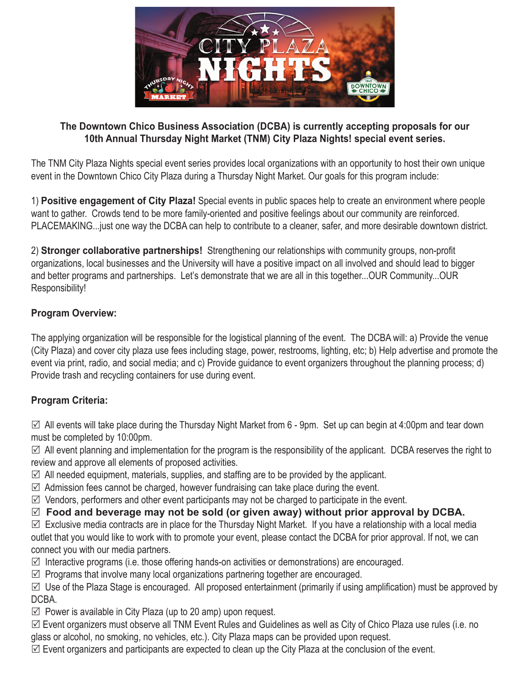

#### **The Downtown Chico Business Association (DCBA) is currently accepting proposals for our 10th Annual Thursday Night Market (TNM) City Plaza Nights! special event series.**

The TNM City Plaza Nights special event series provides local organizations with an opportunity to host their own unique event in the Downtown Chico City Plaza during a Thursday Night Market. Our goals for this program include:

1) **Positive engagement of City Plaza!** Special events in public spaces help to create an environment where people want to gather. Crowds tend to be more family-oriented and positive feelings about our community are reinforced. PLACEMAKING...just one way the DCBA can help to contribute to a cleaner, safer, and more desirable downtown district.

2) **Stronger collaborative partnerships!** Strengthening our relationships with community groups, non-profi t organizations, local businesses and the University will have a positive impact on all involved and should lead to bigger and better programs and partnerships. Let's demonstrate that we are all in this together...OUR Community...OUR Responsibility!

### **Program Overview:**

The applying organization will be responsible for the logistical planning of the event. The DCBA will: a) Provide the venue (City Plaza) and cover city plaza use fees including stage, power, restrooms, lighting, etc; b) Help advertise and promote the event via print, radio, and social media; and c) Provide guidance to event organizers throughout the planning process; d) Provide trash and recycling containers for use during event.

### **Program Criteria:**

 $\boxtimes$  All events will take place during the Thursday Night Market from 6 - 9pm. Set up can begin at 4:00pm and tear down must be completed by 10:00pm.

 $\boxtimes$  All event planning and implementation for the program is the responsibility of the applicant. DCBA reserves the right to review and approve all elements of proposed activities.

- $\boxtimes$  All needed equipment, materials, supplies, and staffing are to be provided by the applicant.
- $\boxtimes$  Admission fees cannot be charged, however fundraising can take place during the event.
- $\boxtimes$  Vendors, performers and other event participants may not be charged to participate in the event.

 **Food and beverage may not be sold (or given away) without prior approval by DCBA.**

 $\boxtimes$  Exclusive media contracts are in place for the Thursday Night Market. If you have a relationship with a local media outlet that you would like to work with to promote your event, please contact the DCBA for prior approval. If not, we can connect you with our media partners.

 $\boxtimes$  Interactive programs (i.e. those offering hands-on activities or demonstrations) are encouraged.

 $\boxtimes$  Programs that involve many local organizations partnering together are encouraged.

 $\boxtimes$  Use of the Plaza Stage is encouraged. All proposed entertainment (primarily if using amplification) must be approved by DCBA.

 $\boxtimes$  Power is available in City Plaza (up to 20 amp) upon request.

 Event organizers must observe all TNM Event Rules and Guidelines as well as City of Chico Plaza use rules (i.e. no glass or alcohol, no smoking, no vehicles, etc.). City Plaza maps can be provided upon request.

 $\boxtimes$  Event organizers and participants are expected to clean up the City Plaza at the conclusion of the event.